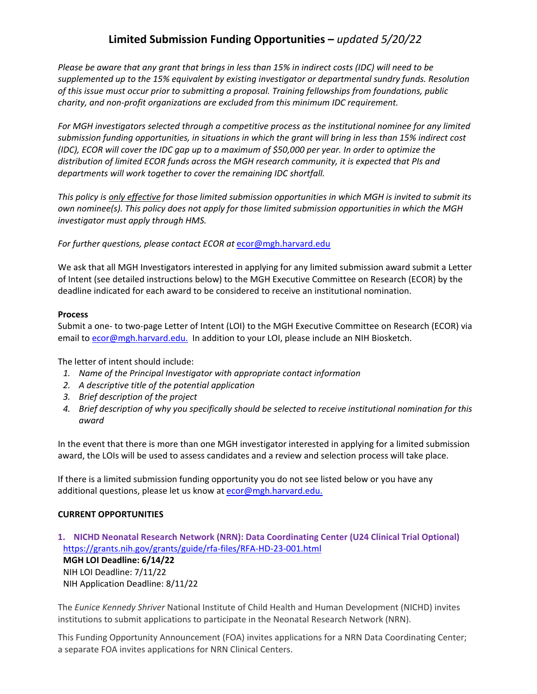# **Limited Submission Funding Opportunities –** *updated 5/20/22*

*Please be aware that any grant that brings in less than 15% in indirect costs (IDC) will need to be supplemented up to the 15% equivalent by existing investigator or departmental sundry funds. Resolution of this issue must occur prior to submitting a proposal. Training fellowships from foundations, public charity, and non-profit organizations are excluded from this minimum IDC requirement.*

*For MGH investigators selected through a competitive process as the institutional nominee for any limited submission funding opportunities, in situations in which the grant will bring in less than 15% indirect cost (IDC), ECOR will cover the IDC gap up to a maximum of \$50,000 per year. In order to optimize the distribution of limited ECOR funds across the MGH research community, it is expected that PIs and departments will work together to cover the remaining IDC shortfall.*

*This policy is only effective for those limited submission opportunities in which MGH is invited to submit its own nominee(s). This policy does not apply for those limited submission opportunities in which the MGH investigator must apply through HMS.*

### For further questions, please contact ECOR at **[ecor@mgh.harvard.edu](mailto:ecor@mgh.harvard.edu)**

We ask that all MGH Investigators interested in applying for any limited submission award submit a Letter of Intent (see detailed instructions below) to the MGH Executive Committee on Research (ECOR) by the deadline indicated for each award to be considered to receive an institutional nomination.

#### **Process**

Submit a one- to two-page Letter of Intent (LOI) to the MGH Executive Committee on Research (ECOR) via email to [ecor@mgh.harvard.edu.](mailto:ecor@mgh.harvard.edu) In addition to your LOI, please include an NIH Biosketch.

The letter of intent should include:

- *1. Name of the Principal Investigator with appropriate contact information*
- *2. A descriptive title of the potential application*
- *3. Brief description of the project*
- *4. Brief description of why you specifically should be selected to receive institutional nomination for this award*

In the event that there is more than one MGH investigator interested in applying for a limited submission award, the LOIs will be used to assess candidates and a review and selection process will take place.

If there is a limited submission funding opportunity you do not see listed below or you have any additional questions, please let us know at [ecor@mgh.harvard.edu.](mailto:ecor@mgh.harvard.edu)

### **CURRENT OPPORTUNITIES**

**1. NICHD Neonatal Research Network (NRN): Data Coordinating Center (U24 Clinical Trial Optional)**  <https://grants.nih.gov/grants/guide/rfa-files/RFA-HD-23-001.html> **MGH LOI Deadline: 6/14/22** NIH LOI Deadline: 7/11/22 NIH Application Deadline: 8/11/22

The *Eunice Kennedy Shriver* National Institute of Child Health and Human Development (NICHD) invites institutions to submit applications to participate in the Neonatal Research Network (NRN).

This Funding Opportunity Announcement (FOA) invites applications for a NRN Data Coordinating Center; a separate FOA invites applications for NRN Clinical Centers.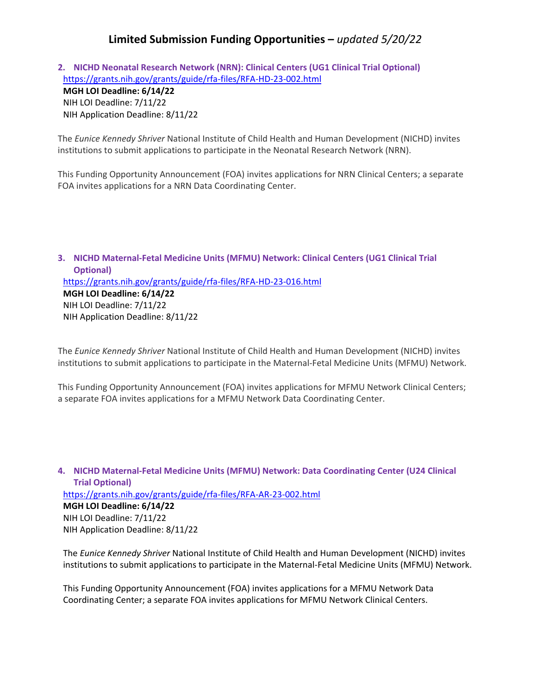## **Limited Submission Funding Opportunities –** *updated 5/20/22*

**2. NICHD Neonatal Research Network (NRN): Clinical Centers (UG1 Clinical Trial Optional)**  <https://grants.nih.gov/grants/guide/rfa-files/RFA-HD-23-002.html>

#### **MGH LOI Deadline: 6/14/22** NIH LOI Deadline: 7/11/22

NIH Application Deadline: 8/11/22

The *Eunice Kennedy Shriver* National Institute of Child Health and Human Development (NICHD) invites institutions to submit applications to participate in the Neonatal Research Network (NRN).

This Funding Opportunity Announcement (FOA) invites applications for NRN Clinical Centers; a separate FOA invites applications for a NRN Data Coordinating Center.

**3. NICHD Maternal-Fetal Medicine Units (MFMU) Network: Clinical Centers (UG1 Clinical Trial Optional)**  <https://grants.nih.gov/grants/guide/rfa-files/RFA-HD-23-016.html> **MGH LOI Deadline: 6/14/22** NIH LOI Deadline: 7/11/22 NIH Application Deadline: 8/11/22

The *Eunice Kennedy Shriver* National Institute of Child Health and Human Development (NICHD) invites institutions to submit applications to participate in the Maternal-Fetal Medicine Units (MFMU) Network.

This Funding Opportunity Announcement (FOA) invites applications for MFMU Network Clinical Centers; a separate FOA invites applications for a MFMU Network Data Coordinating Center.

**4. NICHD Maternal-Fetal Medicine Units (MFMU) Network: Data Coordinating Center (U24 Clinical Trial Optional)**  <https://grants.nih.gov/grants/guide/rfa-files/RFA-AR-23-002.html> **MGH LOI Deadline: 6/14/22** NIH LOI Deadline: 7/11/22 NIH Application Deadline: 8/11/22

The *Eunice Kennedy Shriver* National Institute of Child Health and Human Development (NICHD) invites institutions to submit applications to participate in the Maternal-Fetal Medicine Units (MFMU) Network.

This Funding Opportunity Announcement (FOA) invites applications for a MFMU Network Data Coordinating Center; a separate FOA invites applications for MFMU Network Clinical Centers.